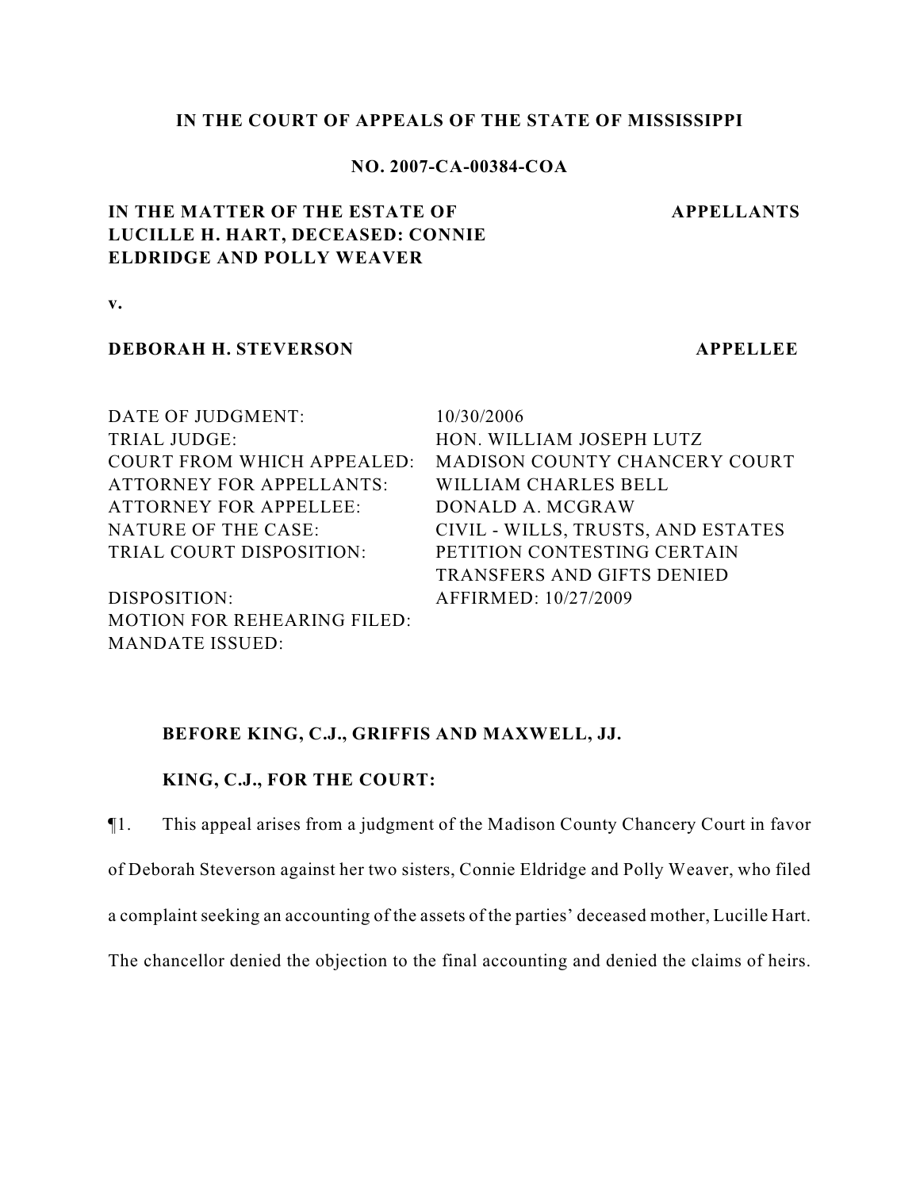#### **IN THE COURT OF APPEALS OF THE STATE OF MISSISSIPPI**

## **NO. 2007-CA-00384-COA**

#### **APPELLANTS**

# **IN THE MATTER OF THE ESTATE OF LUCILLE H. HART, DECEASED: CONNIE ELDRIDGE AND POLLY WEAVER**

**v.**

## **DEBORAH H. STEVERSON APPELLEE**

DATE OF JUDGMENT: 10/30/2006 TRIAL JUDGE: HON. WILLIAM JOSEPH LUTZ ATTORNEY FOR APPELLANTS: WILLIAM CHARLES BELL ATTORNEY FOR APPELLEE: DONALD A. MCGRAW TRIAL COURT DISPOSITION: PETITION CONTESTING CERTAIN

DISPOSITION: AFFIRMED: 10/27/2009 MOTION FOR REHEARING FILED: MANDATE ISSUED:

COURT FROM WHICH APPEALED: MADISON COUNTY CHANCERY COURT NATURE OF THE CASE: CIVIL - WILLS, TRUSTS, AND ESTATES TRANSFERS AND GIFTS DENIED

## **BEFORE KING, C.J., GRIFFIS AND MAXWELL, JJ.**

## **KING, C.J., FOR THE COURT:**

¶1. This appeal arises from a judgment of the Madison County Chancery Court in favor of Deborah Steverson against her two sisters, Connie Eldridge and Polly Weaver, who filed a complaint seeking an accounting of the assets of the parties' deceased mother, Lucille Hart.

The chancellor denied the objection to the final accounting and denied the claims of heirs.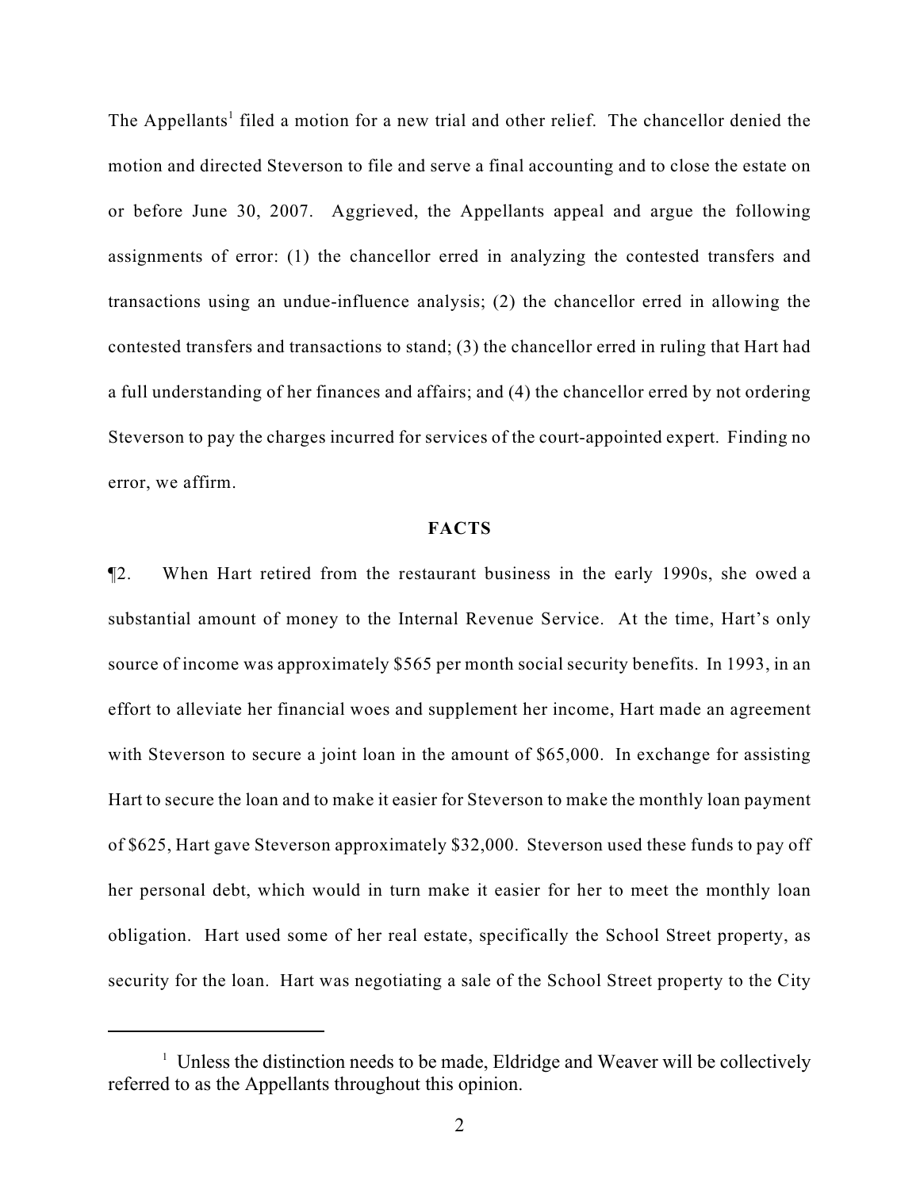The Appellants<sup>1</sup> filed a motion for a new trial and other relief. The chancellor denied the motion and directed Steverson to file and serve a final accounting and to close the estate on or before June 30, 2007. Aggrieved, the Appellants appeal and argue the following assignments of error: (1) the chancellor erred in analyzing the contested transfers and transactions using an undue-influence analysis; (2) the chancellor erred in allowing the contested transfers and transactions to stand; (3) the chancellor erred in ruling that Hart had a full understanding of her finances and affairs; and (4) the chancellor erred by not ordering Steverson to pay the charges incurred for services of the court-appointed expert. Finding no error, we affirm.

#### **FACTS**

¶2. When Hart retired from the restaurant business in the early 1990s, she owed a substantial amount of money to the Internal Revenue Service. At the time, Hart's only source of income was approximately \$565 per month social security benefits. In 1993, in an effort to alleviate her financial woes and supplement her income, Hart made an agreement with Steverson to secure a joint loan in the amount of \$65,000. In exchange for assisting Hart to secure the loan and to make it easier for Steverson to make the monthly loan payment of \$625, Hart gave Steverson approximately \$32,000. Steverson used these funds to pay off her personal debt, which would in turn make it easier for her to meet the monthly loan obligation. Hart used some of her real estate, specifically the School Street property, as security for the loan. Hart was negotiating a sale of the School Street property to the City

<sup>&</sup>lt;sup>1</sup> Unless the distinction needs to be made, Eldridge and Weaver will be collectively referred to as the Appellants throughout this opinion.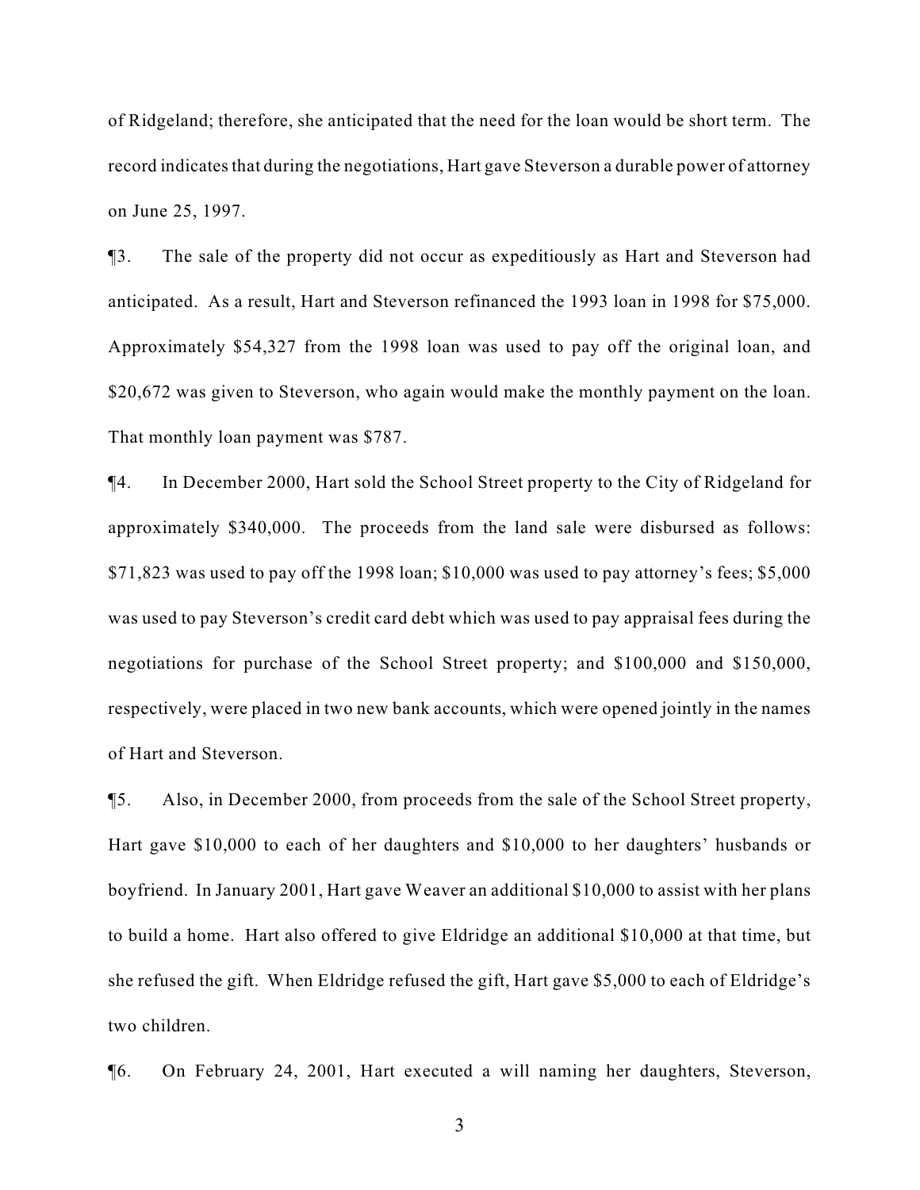of Ridgeland; therefore, she anticipated that the need for the loan would be short term. The record indicates that during the negotiations, Hart gave Steverson a durable power of attorney on June 25, 1997.

¶3. The sale of the property did not occur as expeditiously as Hart and Steverson had anticipated. As a result, Hart and Steverson refinanced the 1993 loan in 1998 for \$75,000. Approximately \$54,327 from the 1998 loan was used to pay off the original loan, and \$20,672 was given to Steverson, who again would make the monthly payment on the loan. That monthly loan payment was \$787.

¶4. In December 2000, Hart sold the School Street property to the City of Ridgeland for approximately \$340,000. The proceeds from the land sale were disbursed as follows: \$71,823 was used to pay off the 1998 loan; \$10,000 was used to pay attorney's fees; \$5,000 was used to pay Steverson's credit card debt which was used to pay appraisal fees during the negotiations for purchase of the School Street property; and \$100,000 and \$150,000, respectively, were placed in two new bank accounts, which were opened jointly in the names of Hart and Steverson.

¶5. Also, in December 2000, from proceeds from the sale of the School Street property, Hart gave \$10,000 to each of her daughters and \$10,000 to her daughters' husbands or boyfriend. In January 2001, Hart gave Weaver an additional \$10,000 to assist with her plans to build a home. Hart also offered to give Eldridge an additional \$10,000 at that time, but she refused the gift. When Eldridge refused the gift, Hart gave \$5,000 to each of Eldridge's two children.

¶6. On February 24, 2001, Hart executed a will naming her daughters, Steverson,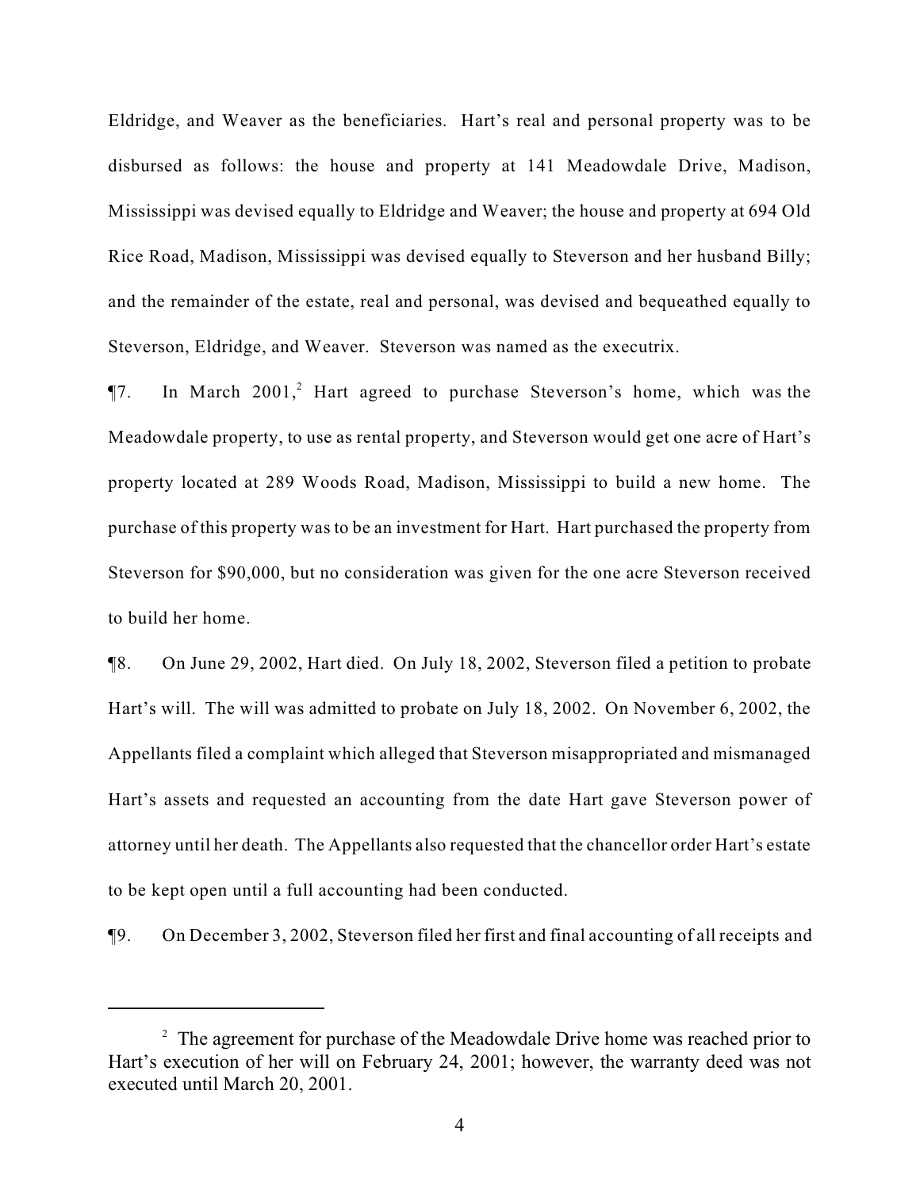Eldridge, and Weaver as the beneficiaries. Hart's real and personal property was to be disbursed as follows: the house and property at 141 Meadowdale Drive, Madison, Mississippi was devised equally to Eldridge and Weaver; the house and property at 694 Old Rice Road, Madison, Mississippi was devised equally to Steverson and her husband Billy; and the remainder of the estate, real and personal, was devised and bequeathed equally to Steverson, Eldridge, and Weaver. Steverson was named as the executrix.

 $\P$ 7. In March 2001,<sup>2</sup> Hart agreed to purchase Steverson's home, which was the Meadowdale property, to use as rental property, and Steverson would get one acre of Hart's property located at 289 Woods Road, Madison, Mississippi to build a new home. The purchase of this property was to be an investment for Hart. Hart purchased the property from Steverson for \$90,000, but no consideration was given for the one acre Steverson received to build her home.

¶8. On June 29, 2002, Hart died. On July 18, 2002, Steverson filed a petition to probate Hart's will. The will was admitted to probate on July 18, 2002. On November 6, 2002, the Appellants filed a complaint which alleged that Steverson misappropriated and mismanaged Hart's assets and requested an accounting from the date Hart gave Steverson power of attorney until her death. The Appellants also requested that the chancellor order Hart's estate to be kept open until a full accounting had been conducted.

¶9. On December 3, 2002, Steverson filed her first and final accounting of all receipts and

 $\alpha$ <sup>2</sup> The agreement for purchase of the Meadowdale Drive home was reached prior to Hart's execution of her will on February 24, 2001; however, the warranty deed was not executed until March 20, 2001.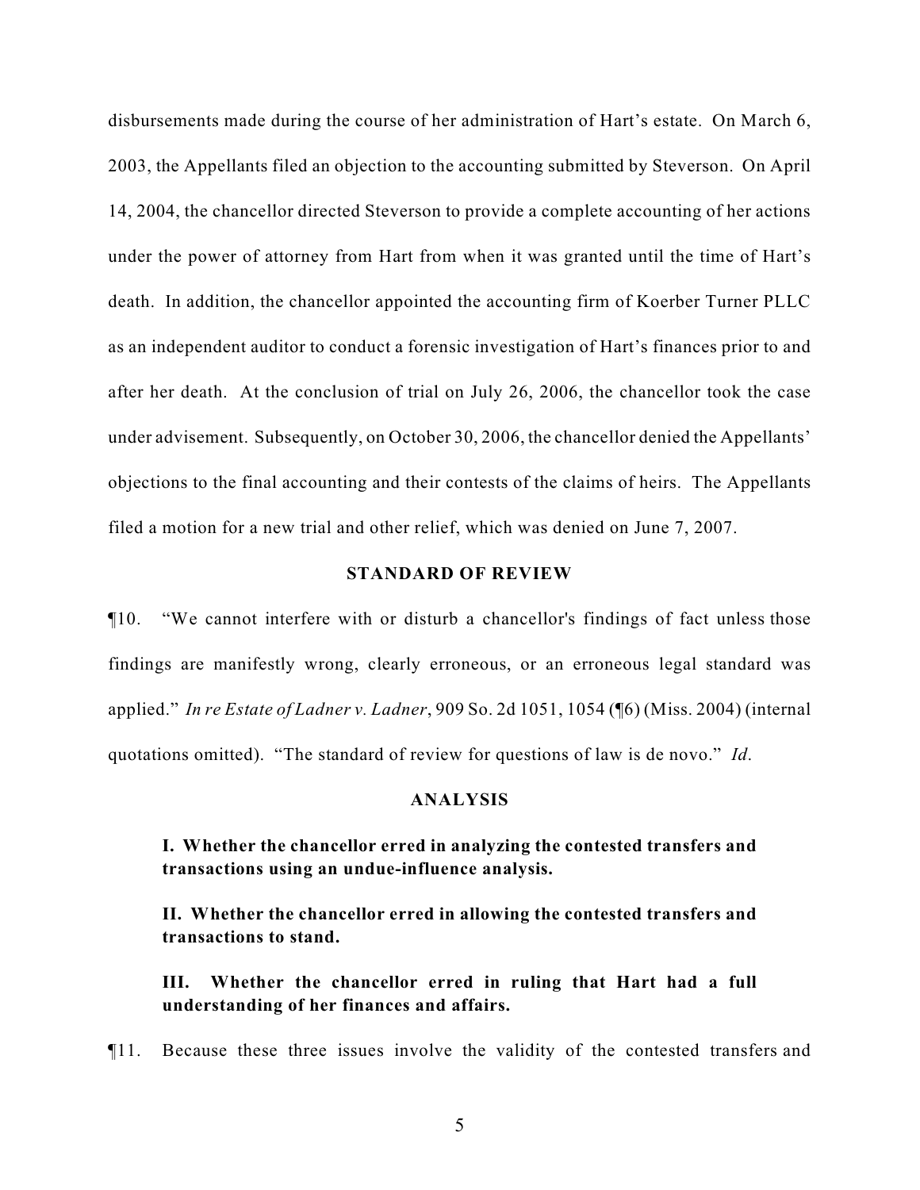disbursements made during the course of her administration of Hart's estate. On March 6, 2003, the Appellants filed an objection to the accounting submitted by Steverson. On April 14, 2004, the chancellor directed Steverson to provide a complete accounting of her actions under the power of attorney from Hart from when it was granted until the time of Hart's death. In addition, the chancellor appointed the accounting firm of Koerber Turner PLLC as an independent auditor to conduct a forensic investigation of Hart's finances prior to and after her death. At the conclusion of trial on July 26, 2006, the chancellor took the case under advisement. Subsequently, on October 30, 2006, the chancellor denied the Appellants' objections to the final accounting and their contests of the claims of heirs. The Appellants filed a motion for a new trial and other relief, which was denied on June 7, 2007.

## **STANDARD OF REVIEW**

¶10. "We cannot interfere with or disturb a chancellor's findings of fact unless those findings are manifestly wrong, clearly erroneous, or an erroneous legal standard was applied." *In re Estate of Ladner v. Ladner*, 909 So. 2d 1051, 1054 (¶6) (Miss. 2004) (internal quotations omitted). "The standard of review for questions of law is de novo." *Id*.

#### **ANALYSIS**

## **I. Whether the chancellor erred in analyzing the contested transfers and transactions using an undue-influence analysis.**

**II. Whether the chancellor erred in allowing the contested transfers and transactions to stand.**

**III. Whether the chancellor erred in ruling that Hart had a full understanding of her finances and affairs.**

¶11. Because these three issues involve the validity of the contested transfers and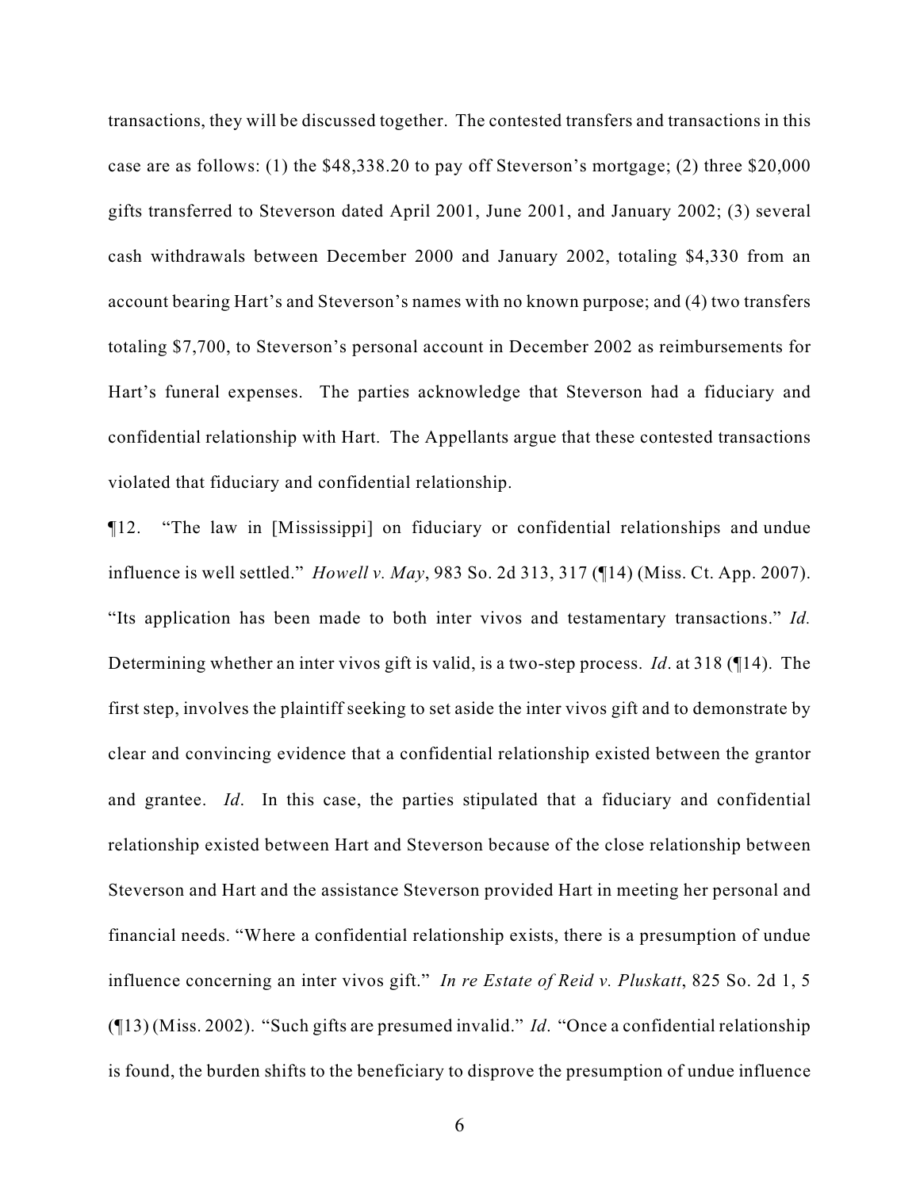transactions, they will be discussed together. The contested transfers and transactions in this case are as follows: (1) the \$48,338.20 to pay off Steverson's mortgage; (2) three \$20,000 gifts transferred to Steverson dated April 2001, June 2001, and January 2002; (3) several cash withdrawals between December 2000 and January 2002, totaling \$4,330 from an account bearing Hart's and Steverson's names with no known purpose; and (4) two transfers totaling \$7,700, to Steverson's personal account in December 2002 as reimbursements for Hart's funeral expenses. The parties acknowledge that Steverson had a fiduciary and confidential relationship with Hart. The Appellants argue that these contested transactions violated that fiduciary and confidential relationship.

¶12. "The law in [Mississippi] on fiduciary or confidential relationships and undue influence is well settled." *Howell v. May*, 983 So. 2d 313, 317 (¶14) (Miss. Ct. App. 2007). "Its application has been made to both inter vivos and testamentary transactions." *Id.* Determining whether an inter vivos gift is valid, is a two-step process. *Id*. at 318 (¶14). The first step, involves the plaintiff seeking to set aside the inter vivos gift and to demonstrate by clear and convincing evidence that a confidential relationship existed between the grantor and grantee. *Id*. In this case, the parties stipulated that a fiduciary and confidential relationship existed between Hart and Steverson because of the close relationship between Steverson and Hart and the assistance Steverson provided Hart in meeting her personal and financial needs. "Where a confidential relationship exists, there is a presumption of undue influence concerning an inter vivos gift." *In re Estate of Reid v. Pluskatt*, 825 So. 2d 1, 5 (¶13) (Miss. 2002). "Such gifts are presumed invalid." *Id*. "Once a confidential relationship is found, the burden shifts to the beneficiary to disprove the presumption of undue influence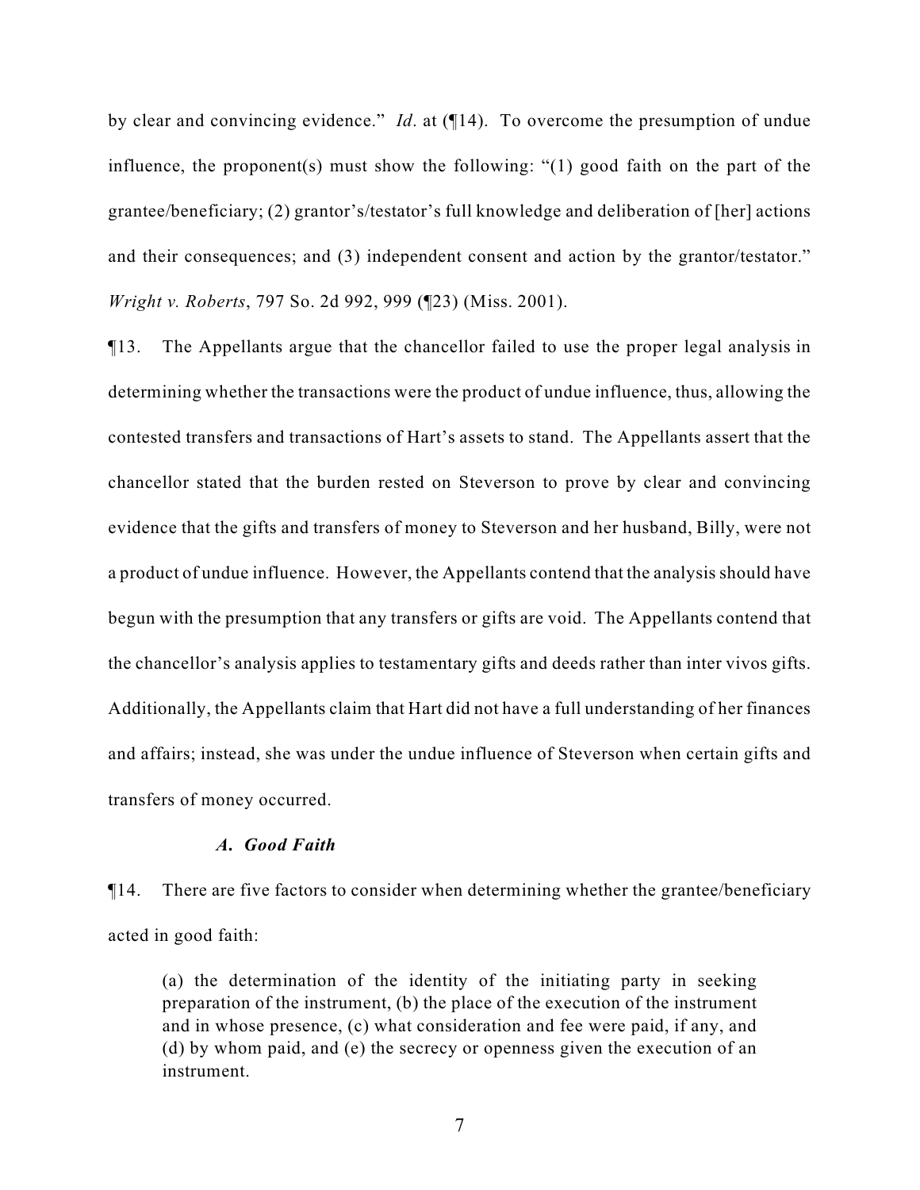by clear and convincing evidence." *Id*. at (¶14). To overcome the presumption of undue influence, the proponent(s) must show the following: "(1) good faith on the part of the grantee/beneficiary; (2) grantor's/testator's full knowledge and deliberation of [her] actions and their consequences; and (3) independent consent and action by the grantor/testator." *Wright v. Roberts*, 797 So. 2d 992, 999 (¶23) (Miss. 2001).

¶13. The Appellants argue that the chancellor failed to use the proper legal analysis in determining whether the transactions were the product of undue influence, thus, allowing the contested transfers and transactions of Hart's assets to stand. The Appellants assert that the chancellor stated that the burden rested on Steverson to prove by clear and convincing evidence that the gifts and transfers of money to Steverson and her husband, Billy, were not a product of undue influence. However, the Appellants contend that the analysis should have begun with the presumption that any transfers or gifts are void. The Appellants contend that the chancellor's analysis applies to testamentary gifts and deeds rather than inter vivos gifts. Additionally, the Appellants claim that Hart did not have a full understanding of her finances and affairs; instead, she was under the undue influence of Steverson when certain gifts and transfers of money occurred.

## *A. Good Faith*

¶14. There are five factors to consider when determining whether the grantee/beneficiary acted in good faith:

(a) the determination of the identity of the initiating party in seeking preparation of the instrument, (b) the place of the execution of the instrument and in whose presence, (c) what consideration and fee were paid, if any, and (d) by whom paid, and (e) the secrecy or openness given the execution of an instrument.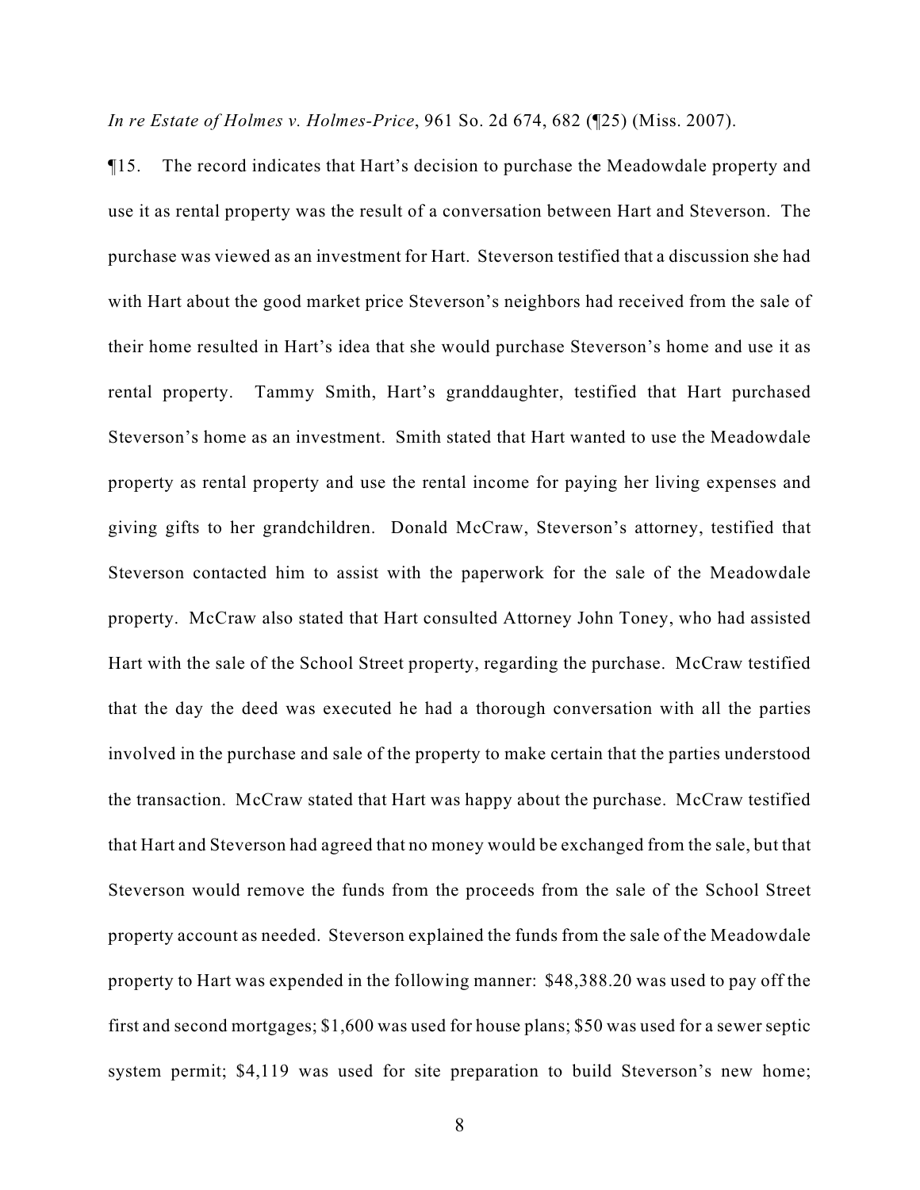*In re Estate of Holmes v. Holmes-Price*, 961 So. 2d 674, 682 (¶25) (Miss. 2007).

¶15. The record indicates that Hart's decision to purchase the Meadowdale property and use it as rental property was the result of a conversation between Hart and Steverson. The purchase was viewed as an investment for Hart. Steverson testified that a discussion she had with Hart about the good market price Steverson's neighbors had received from the sale of their home resulted in Hart's idea that she would purchase Steverson's home and use it as rental property. Tammy Smith, Hart's granddaughter, testified that Hart purchased Steverson's home as an investment. Smith stated that Hart wanted to use the Meadowdale property as rental property and use the rental income for paying her living expenses and giving gifts to her grandchildren. Donald McCraw, Steverson's attorney, testified that Steverson contacted him to assist with the paperwork for the sale of the Meadowdale property. McCraw also stated that Hart consulted Attorney John Toney, who had assisted Hart with the sale of the School Street property, regarding the purchase. McCraw testified that the day the deed was executed he had a thorough conversation with all the parties involved in the purchase and sale of the property to make certain that the parties understood the transaction. McCraw stated that Hart was happy about the purchase. McCraw testified that Hart and Steverson had agreed that no money would be exchanged from the sale, but that Steverson would remove the funds from the proceeds from the sale of the School Street property account as needed. Steverson explained the funds from the sale of the Meadowdale property to Hart was expended in the following manner: \$48,388.20 was used to pay off the first and second mortgages; \$1,600 was used for house plans; \$50 was used for a sewer septic system permit; \$4,119 was used for site preparation to build Steverson's new home;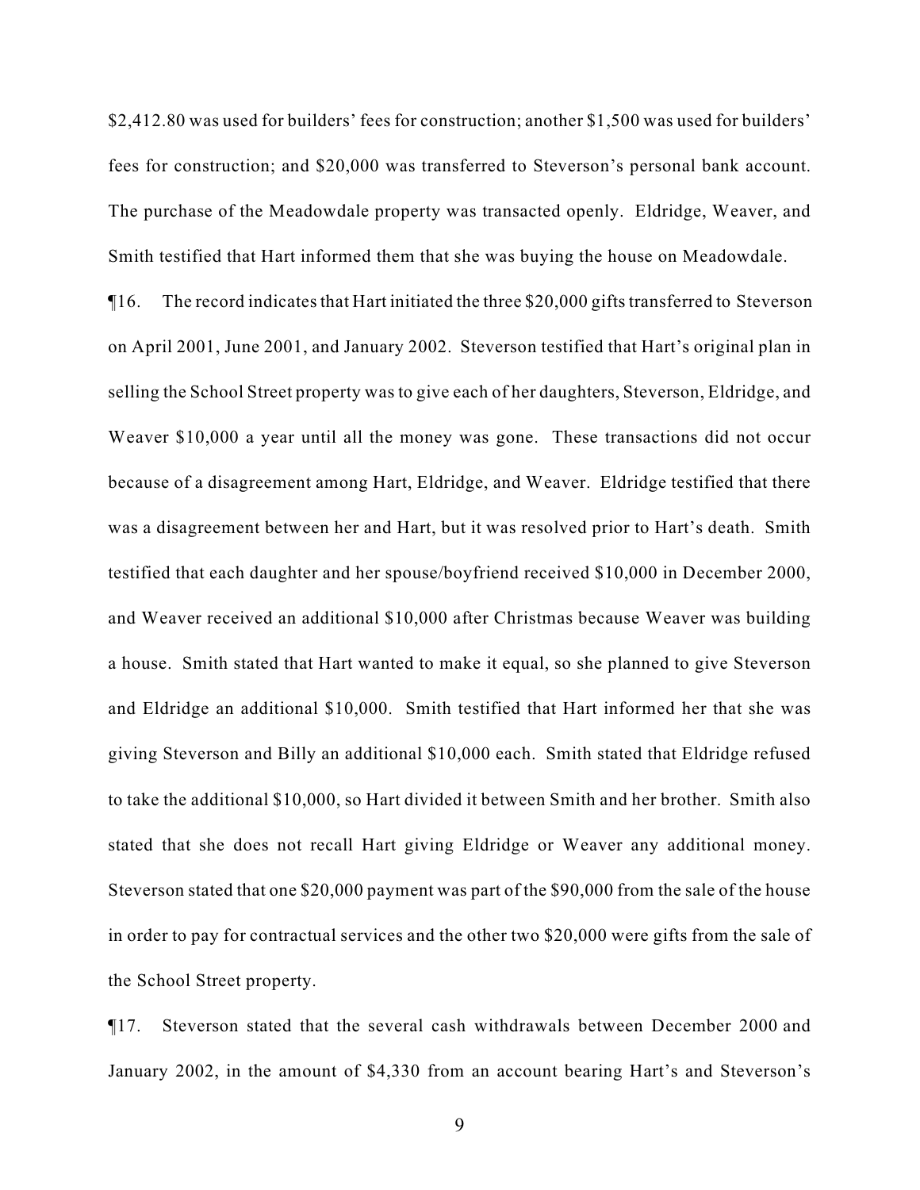\$2,412.80 was used for builders' fees for construction; another \$1,500 was used for builders' fees for construction; and \$20,000 was transferred to Steverson's personal bank account. The purchase of the Meadowdale property was transacted openly. Eldridge, Weaver, and Smith testified that Hart informed them that she was buying the house on Meadowdale.

¶16. The record indicates that Hart initiated the three \$20,000 gifts transferred to Steverson on April 2001, June 2001, and January 2002. Steverson testified that Hart's original plan in selling the School Street property was to give each of her daughters, Steverson, Eldridge, and Weaver \$10,000 a year until all the money was gone. These transactions did not occur because of a disagreement among Hart, Eldridge, and Weaver. Eldridge testified that there was a disagreement between her and Hart, but it was resolved prior to Hart's death. Smith testified that each daughter and her spouse/boyfriend received \$10,000 in December 2000, and Weaver received an additional \$10,000 after Christmas because Weaver was building a house. Smith stated that Hart wanted to make it equal, so she planned to give Steverson and Eldridge an additional \$10,000. Smith testified that Hart informed her that she was giving Steverson and Billy an additional \$10,000 each. Smith stated that Eldridge refused to take the additional \$10,000, so Hart divided it between Smith and her brother. Smith also stated that she does not recall Hart giving Eldridge or Weaver any additional money. Steverson stated that one \$20,000 payment was part of the \$90,000 from the sale of the house in order to pay for contractual services and the other two \$20,000 were gifts from the sale of the School Street property.

¶17. Steverson stated that the several cash withdrawals between December 2000 and January 2002, in the amount of \$4,330 from an account bearing Hart's and Steverson's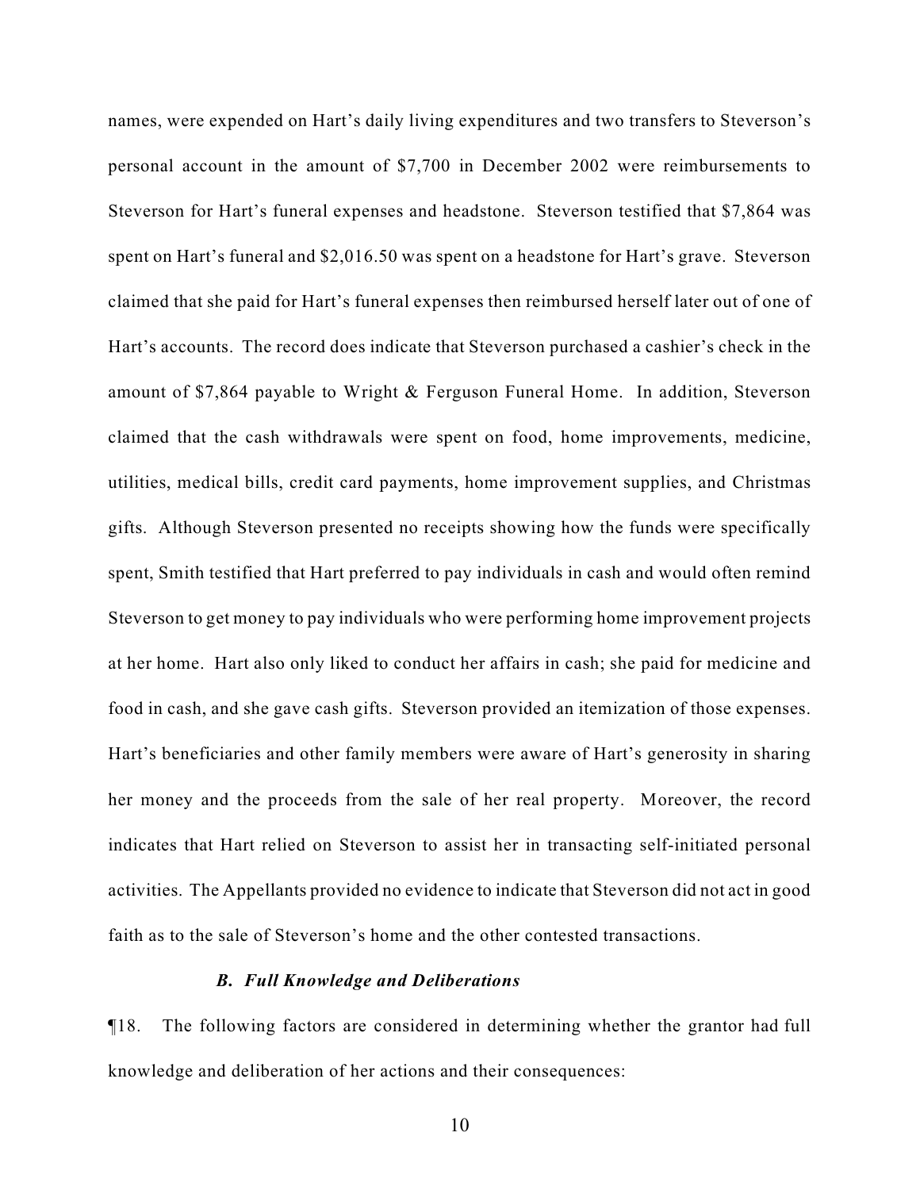names, were expended on Hart's daily living expenditures and two transfers to Steverson's personal account in the amount of \$7,700 in December 2002 were reimbursements to Steverson for Hart's funeral expenses and headstone. Steverson testified that \$7,864 was spent on Hart's funeral and \$2,016.50 was spent on a headstone for Hart's grave. Steverson claimed that she paid for Hart's funeral expenses then reimbursed herself later out of one of Hart's accounts. The record does indicate that Steverson purchased a cashier's check in the amount of \$7,864 payable to Wright & Ferguson Funeral Home. In addition, Steverson claimed that the cash withdrawals were spent on food, home improvements, medicine, utilities, medical bills, credit card payments, home improvement supplies, and Christmas gifts. Although Steverson presented no receipts showing how the funds were specifically spent, Smith testified that Hart preferred to pay individuals in cash and would often remind Steverson to get money to pay individuals who were performing home improvement projects at her home. Hart also only liked to conduct her affairs in cash; she paid for medicine and food in cash, and she gave cash gifts. Steverson provided an itemization of those expenses. Hart's beneficiaries and other family members were aware of Hart's generosity in sharing her money and the proceeds from the sale of her real property. Moreover, the record indicates that Hart relied on Steverson to assist her in transacting self-initiated personal activities. The Appellants provided no evidence to indicate that Steverson did not act in good faith as to the sale of Steverson's home and the other contested transactions.

#### *B. Full Knowledge and Deliberations*

¶18. The following factors are considered in determining whether the grantor had full knowledge and deliberation of her actions and their consequences: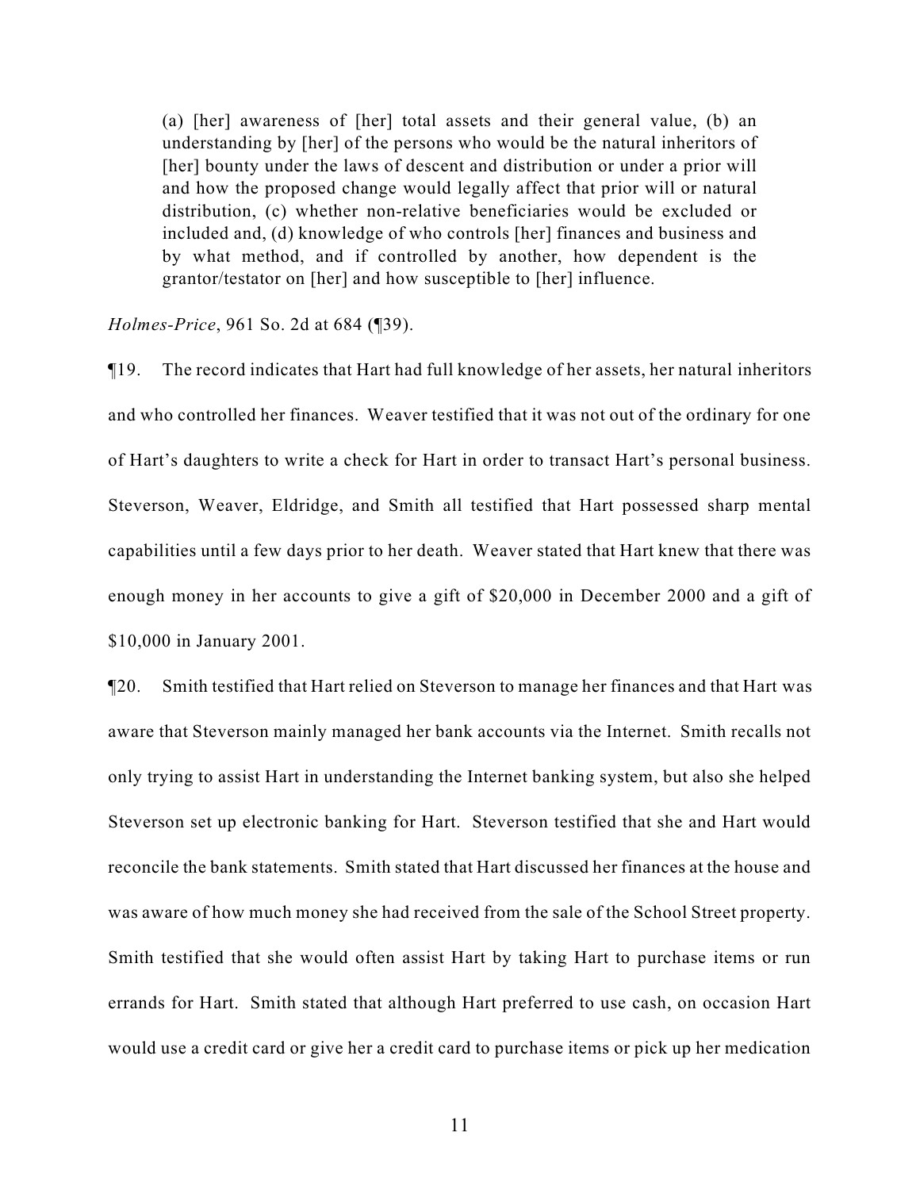(a) [her] awareness of [her] total assets and their general value, (b) an understanding by [her] of the persons who would be the natural inheritors of [her] bounty under the laws of descent and distribution or under a prior will and how the proposed change would legally affect that prior will or natural distribution, (c) whether non-relative beneficiaries would be excluded or included and, (d) knowledge of who controls [her] finances and business and by what method, and if controlled by another, how dependent is the grantor/testator on [her] and how susceptible to [her] influence.

*Holmes-Price*, 961 So. 2d at 684 (¶39).

¶19. The record indicates that Hart had full knowledge of her assets, her natural inheritors and who controlled her finances. Weaver testified that it was not out of the ordinary for one of Hart's daughters to write a check for Hart in order to transact Hart's personal business. Steverson, Weaver, Eldridge, and Smith all testified that Hart possessed sharp mental capabilities until a few days prior to her death. Weaver stated that Hart knew that there was enough money in her accounts to give a gift of \$20,000 in December 2000 and a gift of \$10,000 in January 2001.

¶20. Smith testified that Hart relied on Steverson to manage her finances and that Hart was aware that Steverson mainly managed her bank accounts via the Internet. Smith recalls not only trying to assist Hart in understanding the Internet banking system, but also she helped Steverson set up electronic banking for Hart. Steverson testified that she and Hart would reconcile the bank statements. Smith stated that Hart discussed her finances at the house and was aware of how much money she had received from the sale of the School Street property. Smith testified that she would often assist Hart by taking Hart to purchase items or run errands for Hart. Smith stated that although Hart preferred to use cash, on occasion Hart would use a credit card or give her a credit card to purchase items or pick up her medication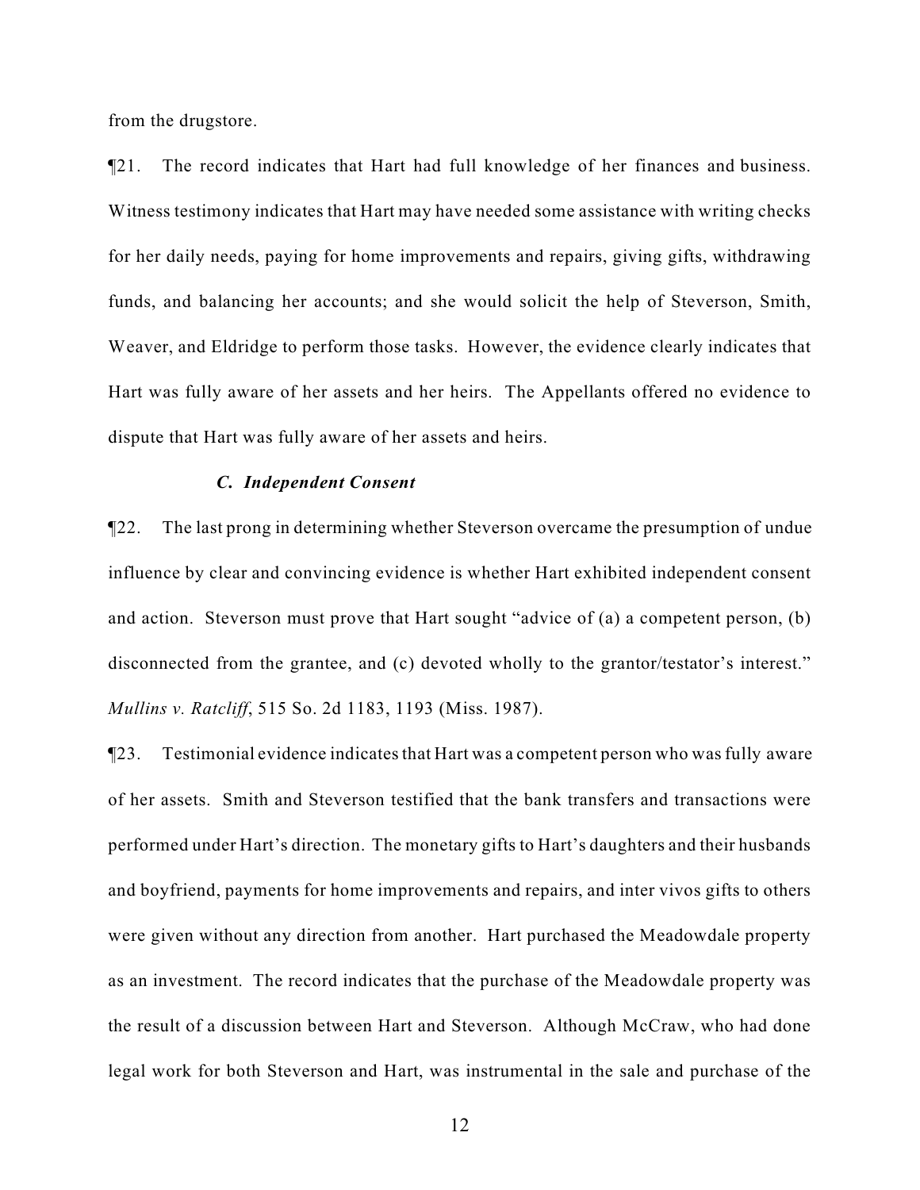from the drugstore.

¶21. The record indicates that Hart had full knowledge of her finances and business. Witness testimony indicates that Hart may have needed some assistance with writing checks for her daily needs, paying for home improvements and repairs, giving gifts, withdrawing funds, and balancing her accounts; and she would solicit the help of Steverson, Smith, Weaver, and Eldridge to perform those tasks. However, the evidence clearly indicates that Hart was fully aware of her assets and her heirs. The Appellants offered no evidence to dispute that Hart was fully aware of her assets and heirs.

#### *C. Independent Consent*

¶22. The last prong in determining whether Steverson overcame the presumption of undue influence by clear and convincing evidence is whether Hart exhibited independent consent and action. Steverson must prove that Hart sought "advice of (a) a competent person, (b) disconnected from the grantee, and (c) devoted wholly to the grantor/testator's interest." *Mullins v. Ratcliff*, 515 So. 2d 1183, 1193 (Miss. 1987).

¶23. Testimonial evidence indicates that Hart was a competent person who was fully aware of her assets. Smith and Steverson testified that the bank transfers and transactions were performed under Hart's direction. The monetary gifts to Hart's daughters and their husbands and boyfriend, payments for home improvements and repairs, and inter vivos gifts to others were given without any direction from another. Hart purchased the Meadowdale property as an investment. The record indicates that the purchase of the Meadowdale property was the result of a discussion between Hart and Steverson. Although McCraw, who had done legal work for both Steverson and Hart, was instrumental in the sale and purchase of the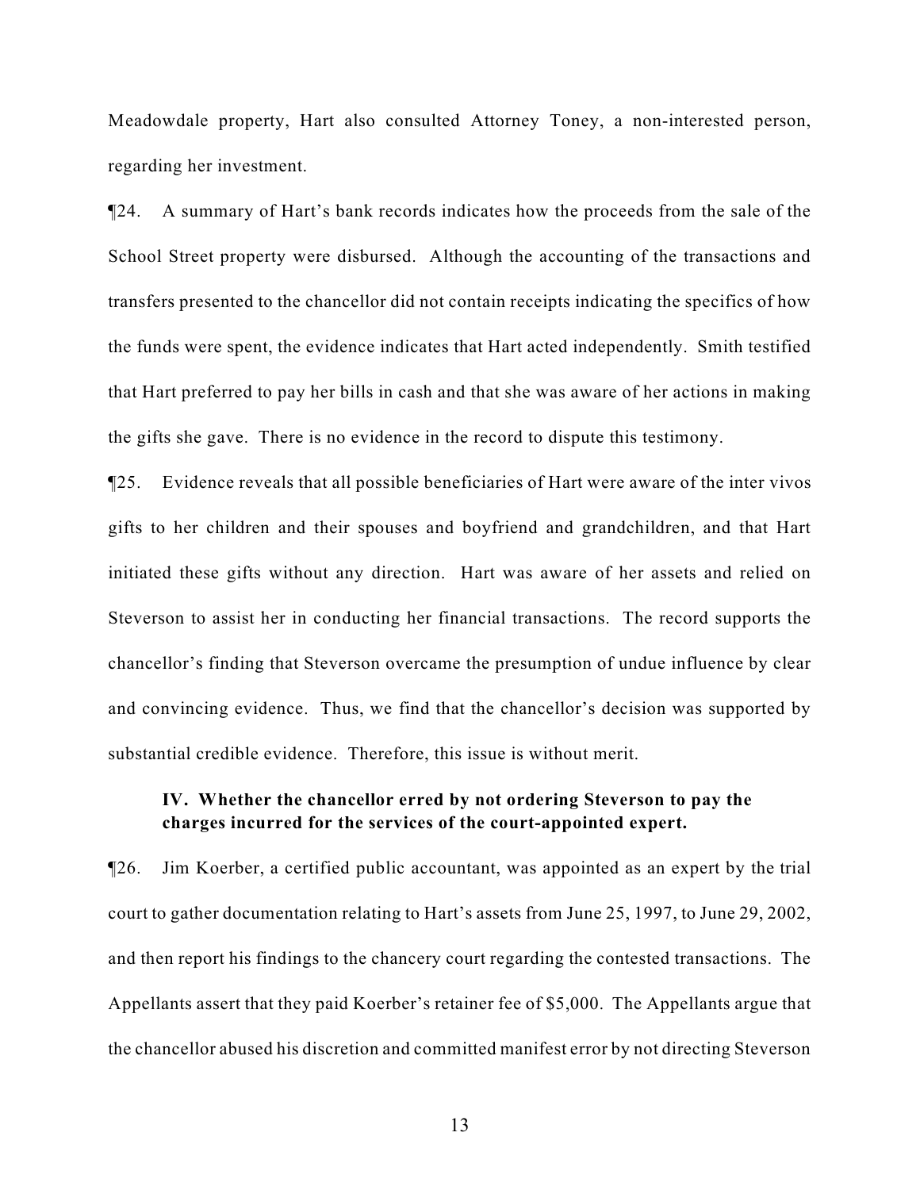Meadowdale property, Hart also consulted Attorney Toney, a non-interested person, regarding her investment.

¶24. A summary of Hart's bank records indicates how the proceeds from the sale of the School Street property were disbursed. Although the accounting of the transactions and transfers presented to the chancellor did not contain receipts indicating the specifics of how the funds were spent, the evidence indicates that Hart acted independently. Smith testified that Hart preferred to pay her bills in cash and that she was aware of her actions in making the gifts she gave. There is no evidence in the record to dispute this testimony.

¶25. Evidence reveals that all possible beneficiaries of Hart were aware of the inter vivos gifts to her children and their spouses and boyfriend and grandchildren, and that Hart initiated these gifts without any direction. Hart was aware of her assets and relied on Steverson to assist her in conducting her financial transactions. The record supports the chancellor's finding that Steverson overcame the presumption of undue influence by clear and convincing evidence. Thus, we find that the chancellor's decision was supported by substantial credible evidence. Therefore, this issue is without merit.

## **IV. Whether the chancellor erred by not ordering Steverson to pay the charges incurred for the services of the court-appointed expert.**

¶26. Jim Koerber, a certified public accountant, was appointed as an expert by the trial court to gather documentation relating to Hart's assets from June 25, 1997, to June 29, 2002, and then report his findings to the chancery court regarding the contested transactions. The Appellants assert that they paid Koerber's retainer fee of \$5,000. The Appellants argue that the chancellor abused his discretion and committed manifest error by not directing Steverson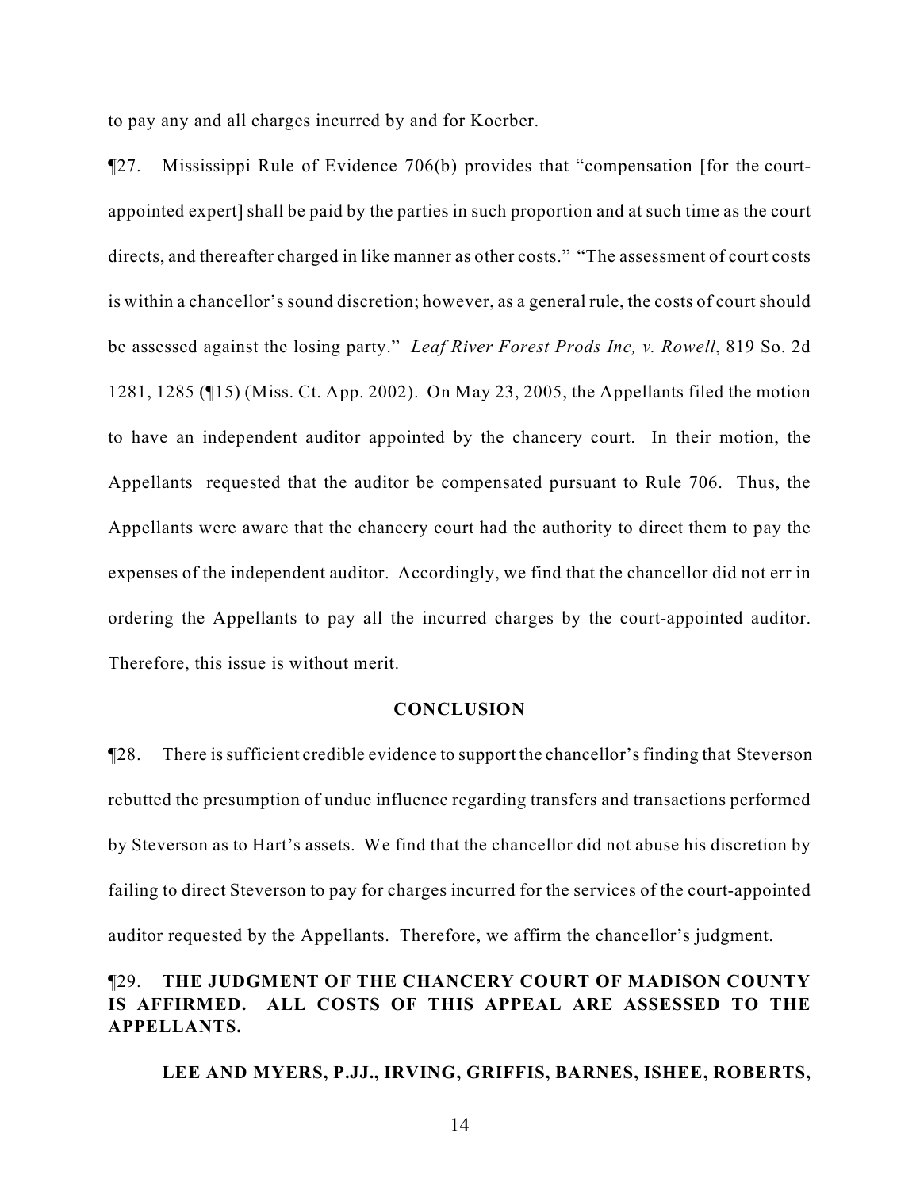to pay any and all charges incurred by and for Koerber.

¶27. Mississippi Rule of Evidence 706(b) provides that "compensation [for the courtappointed expert] shall be paid by the parties in such proportion and at such time as the court directs, and thereafter charged in like manner as other costs." "The assessment of court costs is within a chancellor's sound discretion; however, as a general rule, the costs of court should be assessed against the losing party." *Leaf River Forest Prods Inc, v. Rowell*, 819 So. 2d 1281, 1285 (¶15) (Miss. Ct. App. 2002). On May 23, 2005, the Appellants filed the motion to have an independent auditor appointed by the chancery court. In their motion, the Appellants requested that the auditor be compensated pursuant to Rule 706. Thus, the Appellants were aware that the chancery court had the authority to direct them to pay the expenses of the independent auditor. Accordingly, we find that the chancellor did not err in ordering the Appellants to pay all the incurred charges by the court-appointed auditor. Therefore, this issue is without merit.

#### **CONCLUSION**

¶28. There is sufficient credible evidence to support the chancellor's finding that Steverson rebutted the presumption of undue influence regarding transfers and transactions performed by Steverson as to Hart's assets. We find that the chancellor did not abuse his discretion by failing to direct Steverson to pay for charges incurred for the services of the court-appointed auditor requested by the Appellants. Therefore, we affirm the chancellor's judgment.

# ¶29. **THE JUDGMENT OF THE CHANCERY COURT OF MADISON COUNTY IS AFFIRMED. ALL COSTS OF THIS APPEAL ARE ASSESSED TO THE APPELLANTS.**

**LEE AND MYERS, P.JJ., IRVING, GRIFFIS, BARNES, ISHEE, ROBERTS,**